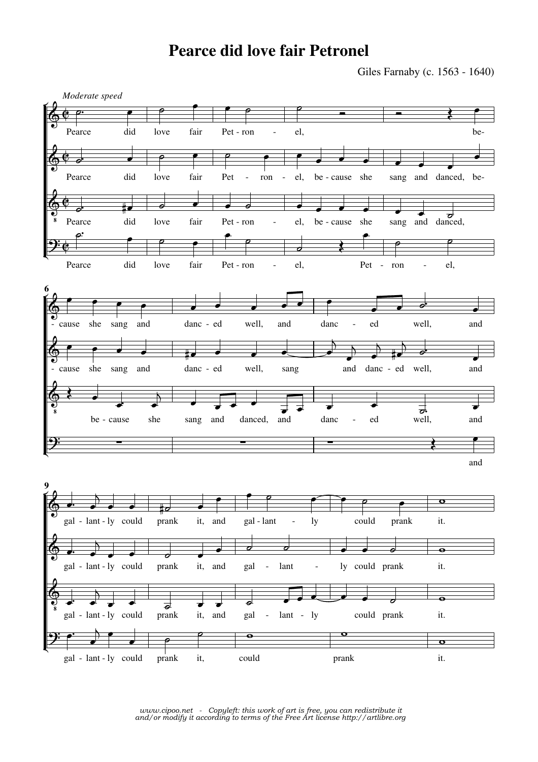## **Pearce did love fair Petronel**

Giles Farnaby (c. 1563 - 1640)



*www.cipoo.net - Copyleft: this work of art is free, you can redistribute it and/or modify it according to terms of the Free Art license http://artlibre.org*